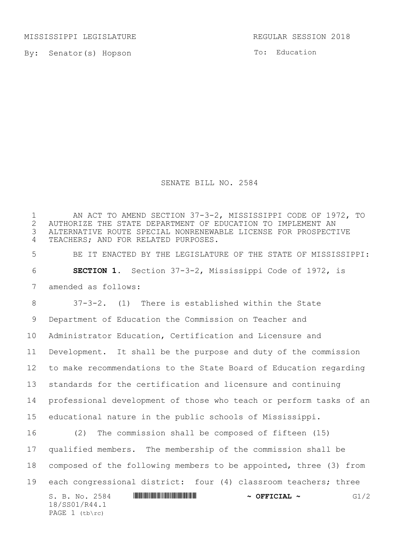MISSISSIPPI LEGISLATURE **REGULAR SESSION 2018** 

By: Senator(s) Hopson

To: Education

## SENATE BILL NO. 2584

S. B. No. 2584 \*SS01/R44.1\* **~ OFFICIAL ~** G1/2 18/SS01/R44.1 PAGE (tb\rc) AN ACT TO AMEND SECTION 37-3-2, MISSISSIPPI CODE OF 1972, TO 2 AUTHORIZE THE STATE DEPARTMENT OF EDUCATION TO IMPLEMENT AN<br>3 ALTERNATIVE ROUTE SPECIAL NONRENEWABLE LICENSE FOR PROSPECT ALTERNATIVE ROUTE SPECIAL NONRENEWABLE LICENSE FOR PROSPECTIVE TEACHERS; AND FOR RELATED PURPOSES. BE IT ENACTED BY THE LEGISLATURE OF THE STATE OF MISSISSIPPI: **SECTION 1.** Section 37-3-2, Mississippi Code of 1972, is amended as follows: 37-3-2. (1) There is established within the State Department of Education the Commission on Teacher and Administrator Education, Certification and Licensure and Development. It shall be the purpose and duty of the commission to make recommendations to the State Board of Education regarding standards for the certification and licensure and continuing professional development of those who teach or perform tasks of an educational nature in the public schools of Mississippi. (2) The commission shall be composed of fifteen (15) qualified members. The membership of the commission shall be composed of the following members to be appointed, three (3) from each congressional district: four (4) classroom teachers; three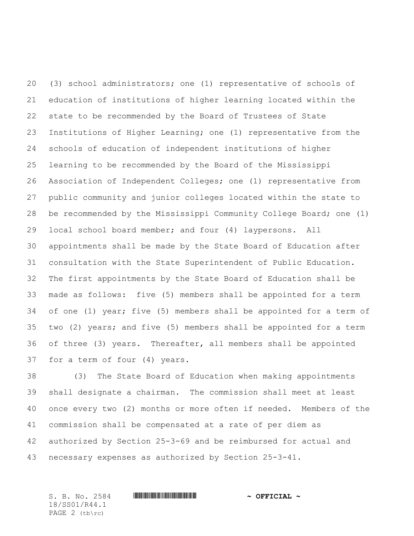(3) school administrators; one (1) representative of schools of education of institutions of higher learning located within the state to be recommended by the Board of Trustees of State Institutions of Higher Learning; one (1) representative from the schools of education of independent institutions of higher learning to be recommended by the Board of the Mississippi Association of Independent Colleges; one (1) representative from public community and junior colleges located within the state to be recommended by the Mississippi Community College Board; one (1) local school board member; and four (4) laypersons. All appointments shall be made by the State Board of Education after consultation with the State Superintendent of Public Education. The first appointments by the State Board of Education shall be made as follows: five (5) members shall be appointed for a term of one (1) year; five (5) members shall be appointed for a term of two (2) years; and five (5) members shall be appointed for a term of three (3) years. Thereafter, all members shall be appointed for a term of four (4) years.

 (3) The State Board of Education when making appointments shall designate a chairman. The commission shall meet at least once every two (2) months or more often if needed. Members of the commission shall be compensated at a rate of per diem as authorized by Section 25-3-69 and be reimbursed for actual and necessary expenses as authorized by Section 25-3-41.

S. B. No. 2584 \*SS01/R44.1\* **~ OFFICIAL ~** 18/SS01/R44.1 PAGE 2 (tb\rc)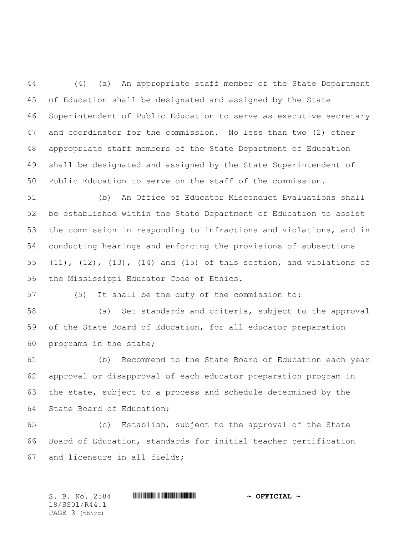(4) (a) An appropriate staff member of the State Department of Education shall be designated and assigned by the State Superintendent of Public Education to serve as executive secretary and coordinator for the commission. No less than two (2) other appropriate staff members of the State Department of Education shall be designated and assigned by the State Superintendent of Public Education to serve on the staff of the commission.

 (b) An Office of Educator Misconduct Evaluations shall be established within the State Department of Education to assist the commission in responding to infractions and violations, and in conducting hearings and enforcing the provisions of subsections (11), (12), (13), (14) and (15) of this section, and violations of the Mississippi Educator Code of Ethics.

(5) It shall be the duty of the commission to:

 (a) Set standards and criteria, subject to the approval of the State Board of Education, for all educator preparation programs in the state;

 (b) Recommend to the State Board of Education each year approval or disapproval of each educator preparation program in the state, subject to a process and schedule determined by the State Board of Education;

 (c) Establish, subject to the approval of the State Board of Education, standards for initial teacher certification and licensure in all fields;

S. B. No. 2584 \*SS01/R44.1\* **~ OFFICIAL ~** 18/SS01/R44.1 PAGE 3 (tb\rc)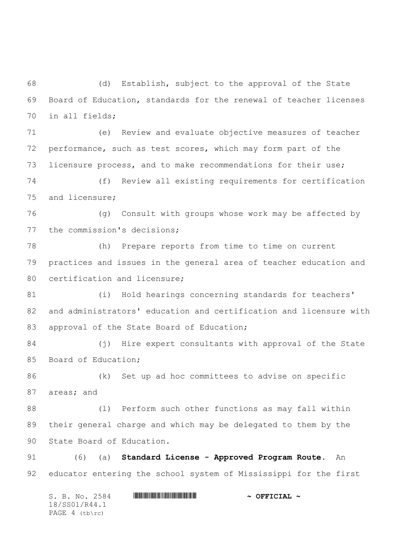(d) Establish, subject to the approval of the State Board of Education, standards for the renewal of teacher licenses in all fields;

 (e) Review and evaluate objective measures of teacher performance, such as test scores, which may form part of the licensure process, and to make recommendations for their use;

 (f) Review all existing requirements for certification and licensure;

 (g) Consult with groups whose work may be affected by the commission's decisions;

 (h) Prepare reports from time to time on current practices and issues in the general area of teacher education and 80 certification and licensure;

 (i) Hold hearings concerning standards for teachers' and administrators' education and certification and licensure with 83 approval of the State Board of Education;

 (j) Hire expert consultants with approval of the State Board of Education;

 (k) Set up ad hoc committees to advise on specific areas; and

 (l) Perform such other functions as may fall within their general charge and which may be delegated to them by the State Board of Education.

 (6) (a) **Standard License - Approved Program Route**. An educator entering the school system of Mississippi for the first

S. B. No. 2584 \*SS01/R44.1\* **~ OFFICIAL ~** 18/SS01/R44.1 PAGE (tb\rc)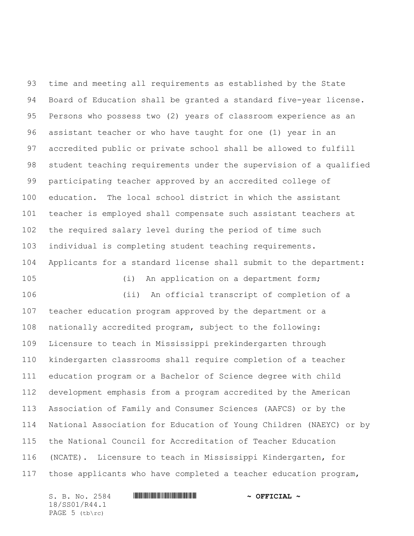time and meeting all requirements as established by the State Board of Education shall be granted a standard five-year license. Persons who possess two (2) years of classroom experience as an assistant teacher or who have taught for one (1) year in an accredited public or private school shall be allowed to fulfill student teaching requirements under the supervision of a qualified participating teacher approved by an accredited college of education. The local school district in which the assistant teacher is employed shall compensate such assistant teachers at the required salary level during the period of time such individual is completing student teaching requirements. Applicants for a standard license shall submit to the department: (i) An application on a department form; (ii) An official transcript of completion of a teacher education program approved by the department or a nationally accredited program, subject to the following: Licensure to teach in Mississippi prekindergarten through kindergarten classrooms shall require completion of a teacher education program or a Bachelor of Science degree with child development emphasis from a program accredited by the American Association of Family and Consumer Sciences (AAFCS) or by the National Association for Education of Young Children (NAEYC) or by the National Council for Accreditation of Teacher Education (NCATE). Licensure to teach in Mississippi Kindergarten, for

those applicants who have completed a teacher education program,

18/SS01/R44.1 PAGE (tb\rc)

S. B. No. 2584 \*SS01/R44.1\* **~ OFFICIAL ~**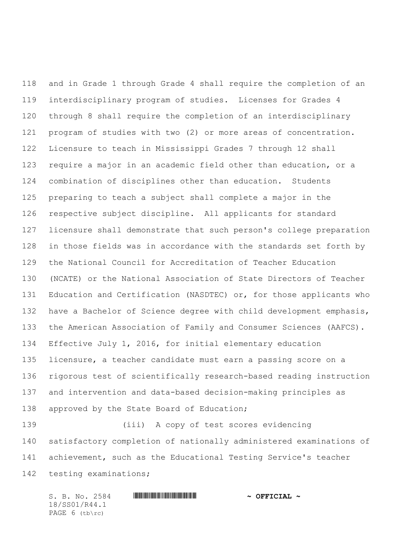and in Grade 1 through Grade 4 shall require the completion of an interdisciplinary program of studies. Licenses for Grades 4 through 8 shall require the completion of an interdisciplinary program of studies with two (2) or more areas of concentration. Licensure to teach in Mississippi Grades 7 through 12 shall require a major in an academic field other than education, or a combination of disciplines other than education. Students preparing to teach a subject shall complete a major in the respective subject discipline. All applicants for standard licensure shall demonstrate that such person's college preparation in those fields was in accordance with the standards set forth by the National Council for Accreditation of Teacher Education (NCATE) or the National Association of State Directors of Teacher Education and Certification (NASDTEC) or, for those applicants who have a Bachelor of Science degree with child development emphasis, the American Association of Family and Consumer Sciences (AAFCS). Effective July 1, 2016, for initial elementary education licensure, a teacher candidate must earn a passing score on a rigorous test of scientifically research-based reading instruction and intervention and data-based decision-making principles as 138 approved by the State Board of Education;

 (iii) A copy of test scores evidencing satisfactory completion of nationally administered examinations of achievement, such as the Educational Testing Service's teacher testing examinations;

S. B. No. 2584 \*SS01/R44.1\* **~ OFFICIAL ~** 18/SS01/R44.1 PAGE 6 (tb\rc)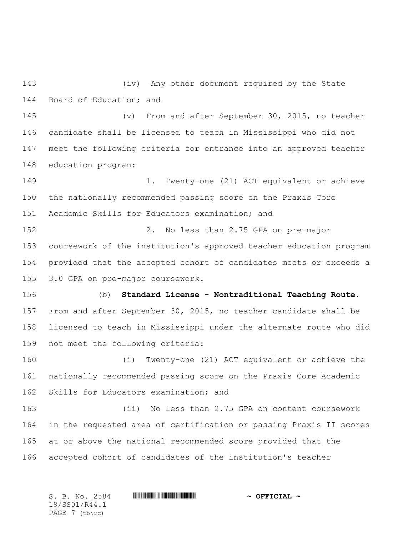(iv) Any other document required by the State Board of Education; and

 (v) From and after September 30, 2015, no teacher candidate shall be licensed to teach in Mississippi who did not meet the following criteria for entrance into an approved teacher education program:

 1. Twenty-one (21) ACT equivalent or achieve the nationally recommended passing score on the Praxis Core Academic Skills for Educators examination; and

 2. No less than 2.75 GPA on pre-major coursework of the institution's approved teacher education program provided that the accepted cohort of candidates meets or exceeds a 3.0 GPA on pre-major coursework.

 (b) **Standard License - Nontraditional Teaching Route**. From and after September 30, 2015, no teacher candidate shall be licensed to teach in Mississippi under the alternate route who did not meet the following criteria:

 (i) Twenty-one (21) ACT equivalent or achieve the nationally recommended passing score on the Praxis Core Academic Skills for Educators examination; and

 (ii) No less than 2.75 GPA on content coursework in the requested area of certification or passing Praxis II scores at or above the national recommended score provided that the accepted cohort of candidates of the institution's teacher

S. B. No. 2584 \*SS01/R44.1\* **~ OFFICIAL ~** 18/SS01/R44.1 PAGE 7 (tb\rc)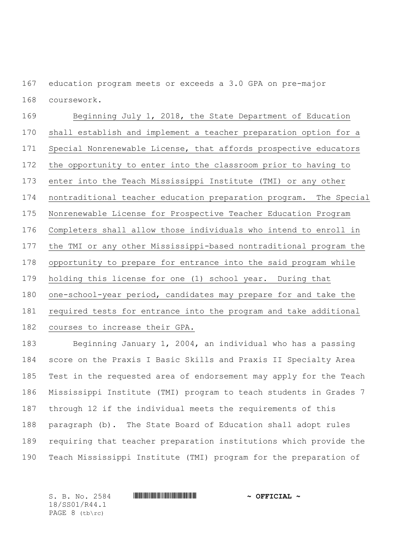education program meets or exceeds a 3.0 GPA on pre-major coursework.

 Beginning July 1, 2018, the State Department of Education shall establish and implement a teacher preparation option for a Special Nonrenewable License, that affords prospective educators the opportunity to enter into the classroom prior to having to enter into the Teach Mississippi Institute (TMI) or any other nontraditional teacher education preparation program. The Special Nonrenewable License for Prospective Teacher Education Program Completers shall allow those individuals who intend to enroll in the TMI or any other Mississippi-based nontraditional program the opportunity to prepare for entrance into the said program while holding this license for one (1) school year. During that one-school-year period, candidates may prepare for and take the required tests for entrance into the program and take additional courses to increase their GPA.

 Beginning January 1, 2004, an individual who has a passing score on the Praxis I Basic Skills and Praxis II Specialty Area Test in the requested area of endorsement may apply for the Teach Mississippi Institute (TMI) program to teach students in Grades 7 through 12 if the individual meets the requirements of this paragraph (b). The State Board of Education shall adopt rules requiring that teacher preparation institutions which provide the Teach Mississippi Institute (TMI) program for the preparation of

18/SS01/R44.1 PAGE 8 (tb\rc)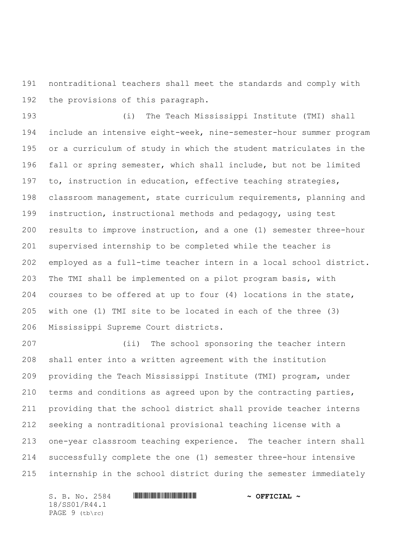nontraditional teachers shall meet the standards and comply with the provisions of this paragraph.

 (i) The Teach Mississippi Institute (TMI) shall include an intensive eight-week, nine-semester-hour summer program or a curriculum of study in which the student matriculates in the fall or spring semester, which shall include, but not be limited to, instruction in education, effective teaching strategies, classroom management, state curriculum requirements, planning and instruction, instructional methods and pedagogy, using test results to improve instruction, and a one (1) semester three-hour supervised internship to be completed while the teacher is employed as a full-time teacher intern in a local school district. The TMI shall be implemented on a pilot program basis, with courses to be offered at up to four (4) locations in the state, with one (1) TMI site to be located in each of the three (3) Mississippi Supreme Court districts.

 (ii) The school sponsoring the teacher intern shall enter into a written agreement with the institution providing the Teach Mississippi Institute (TMI) program, under terms and conditions as agreed upon by the contracting parties, providing that the school district shall provide teacher interns seeking a nontraditional provisional teaching license with a one-year classroom teaching experience. The teacher intern shall successfully complete the one (1) semester three-hour intensive internship in the school district during the semester immediately

S. B. No. 2584 \*SS01/R44.1\* **~ OFFICIAL ~** 18/SS01/R44.1 PAGE 9 (tb\rc)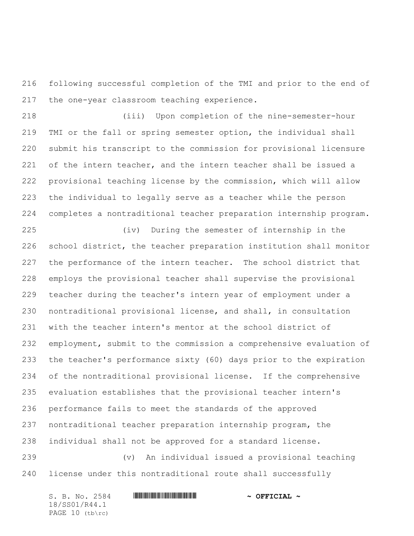following successful completion of the TMI and prior to the end of the one-year classroom teaching experience.

 (iii) Upon completion of the nine-semester-hour TMI or the fall or spring semester option, the individual shall submit his transcript to the commission for provisional licensure of the intern teacher, and the intern teacher shall be issued a provisional teaching license by the commission, which will allow the individual to legally serve as a teacher while the person completes a nontraditional teacher preparation internship program.

 (iv) During the semester of internship in the school district, the teacher preparation institution shall monitor the performance of the intern teacher. The school district that employs the provisional teacher shall supervise the provisional teacher during the teacher's intern year of employment under a nontraditional provisional license, and shall, in consultation with the teacher intern's mentor at the school district of employment, submit to the commission a comprehensive evaluation of the teacher's performance sixty (60) days prior to the expiration of the nontraditional provisional license. If the comprehensive evaluation establishes that the provisional teacher intern's performance fails to meet the standards of the approved nontraditional teacher preparation internship program, the individual shall not be approved for a standard license.

 (v) An individual issued a provisional teaching license under this nontraditional route shall successfully

S. B. No. 2584 \*SS01/R44.1\* **~ OFFICIAL ~** 18/SS01/R44.1 PAGE 10 (tb\rc)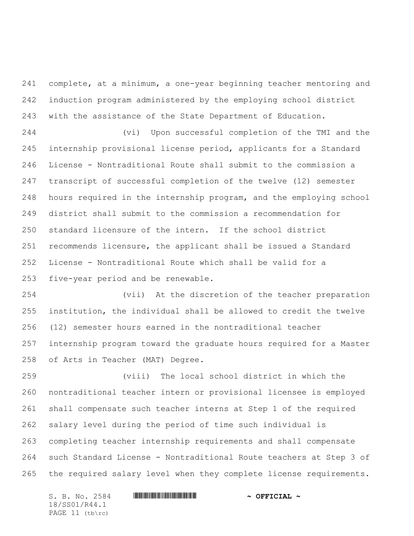complete, at a minimum, a one-year beginning teacher mentoring and induction program administered by the employing school district with the assistance of the State Department of Education.

 (vi) Upon successful completion of the TMI and the internship provisional license period, applicants for a Standard License - Nontraditional Route shall submit to the commission a transcript of successful completion of the twelve (12) semester hours required in the internship program, and the employing school district shall submit to the commission a recommendation for standard licensure of the intern. If the school district recommends licensure, the applicant shall be issued a Standard License - Nontraditional Route which shall be valid for a five-year period and be renewable.

 (vii) At the discretion of the teacher preparation institution, the individual shall be allowed to credit the twelve (12) semester hours earned in the nontraditional teacher internship program toward the graduate hours required for a Master of Arts in Teacher (MAT) Degree.

 (viii) The local school district in which the nontraditional teacher intern or provisional licensee is employed shall compensate such teacher interns at Step 1 of the required salary level during the period of time such individual is completing teacher internship requirements and shall compensate such Standard License - Nontraditional Route teachers at Step 3 of the required salary level when they complete license requirements.

S. B. No. 2584 \*SS01/R44.1\* **~ OFFICIAL ~** 18/SS01/R44.1 PAGE 11 (tb\rc)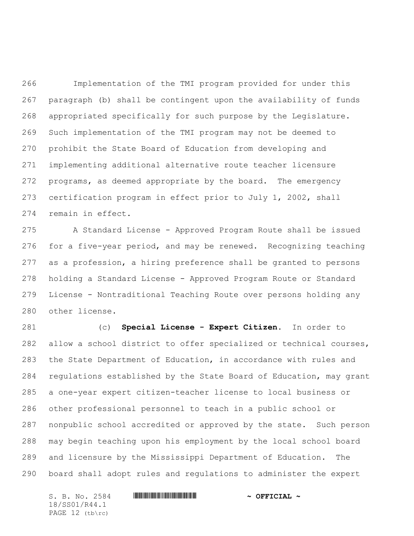Implementation of the TMI program provided for under this paragraph (b) shall be contingent upon the availability of funds appropriated specifically for such purpose by the Legislature. Such implementation of the TMI program may not be deemed to prohibit the State Board of Education from developing and implementing additional alternative route teacher licensure programs, as deemed appropriate by the board. The emergency certification program in effect prior to July 1, 2002, shall remain in effect.

 A Standard License - Approved Program Route shall be issued for a five-year period, and may be renewed. Recognizing teaching as a profession, a hiring preference shall be granted to persons holding a Standard License - Approved Program Route or Standard License - Nontraditional Teaching Route over persons holding any other license.

 (c) **Special License - Expert Citizen**. In order to allow a school district to offer specialized or technical courses, the State Department of Education, in accordance with rules and regulations established by the State Board of Education, may grant a one-year expert citizen-teacher license to local business or other professional personnel to teach in a public school or nonpublic school accredited or approved by the state. Such person may begin teaching upon his employment by the local school board and licensure by the Mississippi Department of Education. The board shall adopt rules and regulations to administer the expert

S. B. No. 2584 \*SS01/R44.1\* **~ OFFICIAL ~** 18/SS01/R44.1 PAGE 12 (tb\rc)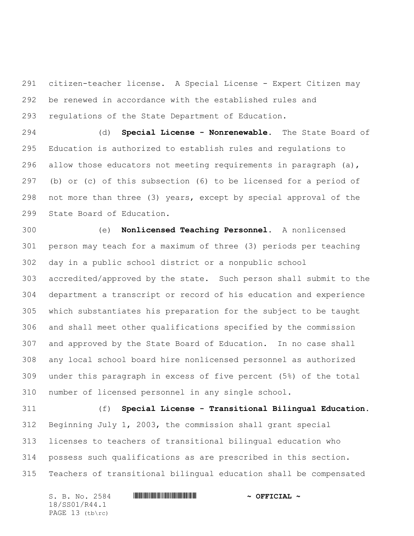citizen-teacher license. A Special License - Expert Citizen may be renewed in accordance with the established rules and regulations of the State Department of Education.

 (d) **Special License - Nonrenewable.** The State Board of Education is authorized to establish rules and regulations to 296 allow those educators not meeting requirements in paragraph  $(a)$ , (b) or (c) of this subsection (6) to be licensed for a period of not more than three (3) years, except by special approval of the State Board of Education.

 (e) **Nonlicensed Teaching Personnel.** A nonlicensed person may teach for a maximum of three (3) periods per teaching day in a public school district or a nonpublic school accredited/approved by the state. Such person shall submit to the department a transcript or record of his education and experience which substantiates his preparation for the subject to be taught and shall meet other qualifications specified by the commission and approved by the State Board of Education. In no case shall any local school board hire nonlicensed personnel as authorized under this paragraph in excess of five percent (5%) of the total number of licensed personnel in any single school.

 (f) **Special License - Transitional Bilingual Education.** Beginning July 1, 2003, the commission shall grant special licenses to teachers of transitional bilingual education who possess such qualifications as are prescribed in this section. Teachers of transitional bilingual education shall be compensated

S. B. No. 2584 \*SS01/R44.1\* **~ OFFICIAL ~** 18/SS01/R44.1 PAGE 13 (tb\rc)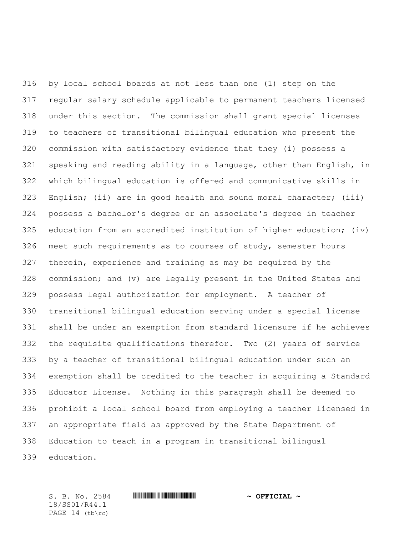by local school boards at not less than one (1) step on the regular salary schedule applicable to permanent teachers licensed under this section. The commission shall grant special licenses to teachers of transitional bilingual education who present the commission with satisfactory evidence that they (i) possess a speaking and reading ability in a language, other than English, in which bilingual education is offered and communicative skills in English; (ii) are in good health and sound moral character; (iii) possess a bachelor's degree or an associate's degree in teacher education from an accredited institution of higher education; (iv) meet such requirements as to courses of study, semester hours therein, experience and training as may be required by the commission; and (v) are legally present in the United States and possess legal authorization for employment. A teacher of transitional bilingual education serving under a special license shall be under an exemption from standard licensure if he achieves the requisite qualifications therefor. Two (2) years of service by a teacher of transitional bilingual education under such an exemption shall be credited to the teacher in acquiring a Standard Educator License. Nothing in this paragraph shall be deemed to prohibit a local school board from employing a teacher licensed in an appropriate field as approved by the State Department of Education to teach in a program in transitional bilingual education.

18/SS01/R44.1 PAGE 14 (tb\rc)

S. B. No. 2584 \*SS01/R44.1\* **~ OFFICIAL ~**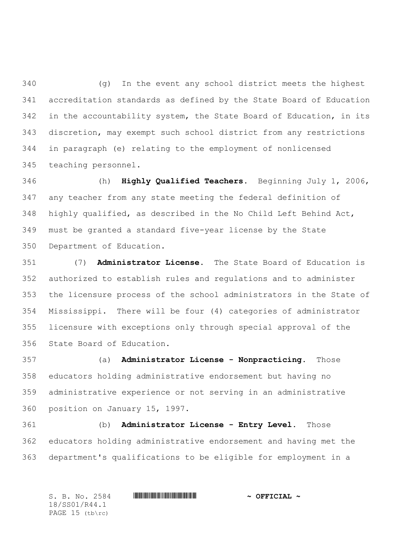(g) In the event any school district meets the highest accreditation standards as defined by the State Board of Education in the accountability system, the State Board of Education, in its discretion, may exempt such school district from any restrictions in paragraph (e) relating to the employment of nonlicensed teaching personnel.

 (h) **Highly Qualified Teachers.** Beginning July 1, 2006, any teacher from any state meeting the federal definition of highly qualified, as described in the No Child Left Behind Act, must be granted a standard five-year license by the State Department of Education.

 (7) **Administrator License.** The State Board of Education is authorized to establish rules and regulations and to administer the licensure process of the school administrators in the State of Mississippi. There will be four (4) categories of administrator licensure with exceptions only through special approval of the State Board of Education.

 (a) **Administrator License - Nonpracticing.** Those educators holding administrative endorsement but having no administrative experience or not serving in an administrative position on January 15, 1997.

 (b) **Administrator License - Entry Level.** Those educators holding administrative endorsement and having met the department's qualifications to be eligible for employment in a

S. B. No. 2584 \*SS01/R44.1\* **~ OFFICIAL ~** 18/SS01/R44.1 PAGE 15 (tb\rc)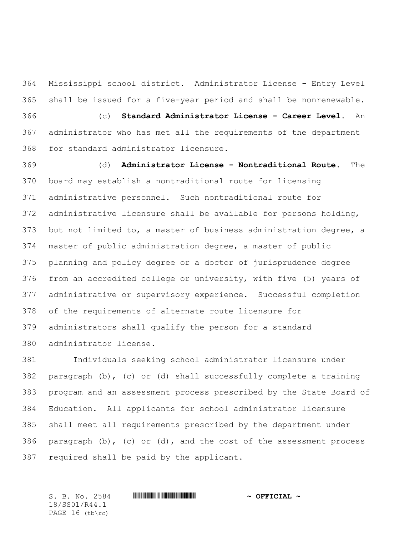Mississippi school district. Administrator License - Entry Level shall be issued for a five-year period and shall be nonrenewable. (c) **Standard Administrator License - Career Level.** An administrator who has met all the requirements of the department for standard administrator licensure.

 (d) **Administrator License - Nontraditional Route.** The board may establish a nontraditional route for licensing administrative personnel. Such nontraditional route for administrative licensure shall be available for persons holding, but not limited to, a master of business administration degree, a master of public administration degree, a master of public planning and policy degree or a doctor of jurisprudence degree from an accredited college or university, with five (5) years of administrative or supervisory experience. Successful completion of the requirements of alternate route licensure for administrators shall qualify the person for a standard administrator license.

 Individuals seeking school administrator licensure under paragraph (b), (c) or (d) shall successfully complete a training program and an assessment process prescribed by the State Board of Education. All applicants for school administrator licensure shall meet all requirements prescribed by the department under 386 paragraph  $(b)$ ,  $(c)$  or  $(d)$ , and the cost of the assessment process required shall be paid by the applicant.

S. B. No. 2584 \*SS01/R44.1\* **~ OFFICIAL ~** 18/SS01/R44.1 PAGE 16 (tb\rc)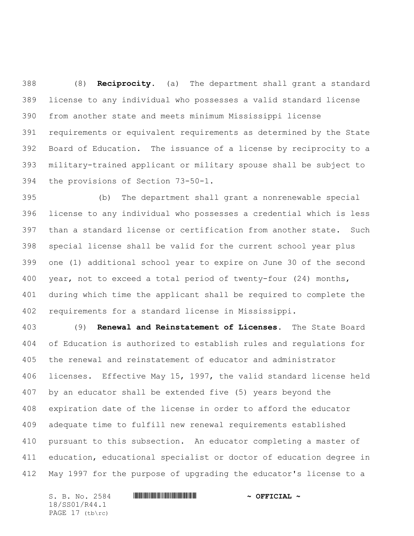(8) **Reciprocity.** (a) The department shall grant a standard license to any individual who possesses a valid standard license from another state and meets minimum Mississippi license requirements or equivalent requirements as determined by the State Board of Education. The issuance of a license by reciprocity to a military-trained applicant or military spouse shall be subject to the provisions of Section 73-50-1.

 (b) The department shall grant a nonrenewable special license to any individual who possesses a credential which is less than a standard license or certification from another state. Such special license shall be valid for the current school year plus one (1) additional school year to expire on June 30 of the second year, not to exceed a total period of twenty-four (24) months, during which time the applicant shall be required to complete the requirements for a standard license in Mississippi.

 (9) **Renewal and Reinstatement of Licenses.** The State Board of Education is authorized to establish rules and regulations for the renewal and reinstatement of educator and administrator licenses. Effective May 15, 1997, the valid standard license held by an educator shall be extended five (5) years beyond the expiration date of the license in order to afford the educator adequate time to fulfill new renewal requirements established pursuant to this subsection. An educator completing a master of education, educational specialist or doctor of education degree in May 1997 for the purpose of upgrading the educator's license to a

S. B. No. 2584 \*SS01/R44.1\* **~ OFFICIAL ~** 18/SS01/R44.1 PAGE 17 (tb\rc)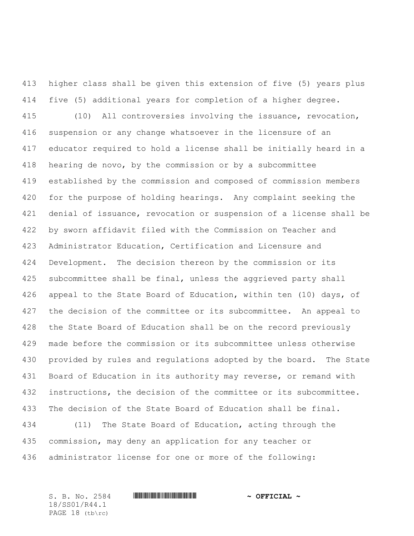higher class shall be given this extension of five (5) years plus five (5) additional years for completion of a higher degree. (10) All controversies involving the issuance, revocation, suspension or any change whatsoever in the licensure of an educator required to hold a license shall be initially heard in a hearing de novo, by the commission or by a subcommittee established by the commission and composed of commission members for the purpose of holding hearings. Any complaint seeking the denial of issuance, revocation or suspension of a license shall be by sworn affidavit filed with the Commission on Teacher and Administrator Education, Certification and Licensure and Development. The decision thereon by the commission or its subcommittee shall be final, unless the aggrieved party shall 426 appeal to the State Board of Education, within ten (10) days, of the decision of the committee or its subcommittee. An appeal to the State Board of Education shall be on the record previously made before the commission or its subcommittee unless otherwise provided by rules and regulations adopted by the board. The State Board of Education in its authority may reverse, or remand with instructions, the decision of the committee or its subcommittee. The decision of the State Board of Education shall be final. (11) The State Board of Education, acting through the

administrator license for one or more of the following:

commission, may deny an application for any teacher or

18/SS01/R44.1 PAGE 18 (tb\rc)

## S. B. No. 2584 \*SS01/R44.1\* **~ OFFICIAL ~**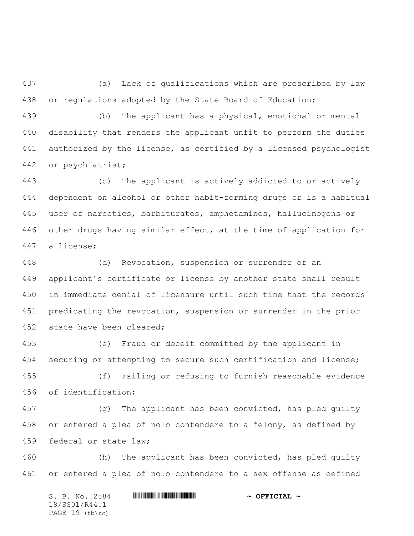(a) Lack of qualifications which are prescribed by law or regulations adopted by the State Board of Education;

 (b) The applicant has a physical, emotional or mental disability that renders the applicant unfit to perform the duties authorized by the license, as certified by a licensed psychologist or psychiatrist;

 (c) The applicant is actively addicted to or actively dependent on alcohol or other habit-forming drugs or is a habitual user of narcotics, barbiturates, amphetamines, hallucinogens or other drugs having similar effect, at the time of application for a license;

 (d) Revocation, suspension or surrender of an applicant's certificate or license by another state shall result in immediate denial of licensure until such time that the records predicating the revocation, suspension or surrender in the prior state have been cleared;

 (e) Fraud or deceit committed by the applicant in 454 securing or attempting to secure such certification and license;

 (f) Failing or refusing to furnish reasonable evidence of identification;

 (g) The applicant has been convicted, has pled guilty or entered a plea of nolo contendere to a felony, as defined by federal or state law;

 (h) The applicant has been convicted, has pled guilty or entered a plea of nolo contendere to a sex offense as defined

S. B. No. 2584 \*SS01/R44.1\* **~ OFFICIAL ~** 18/SS01/R44.1 PAGE 19 (tb\rc)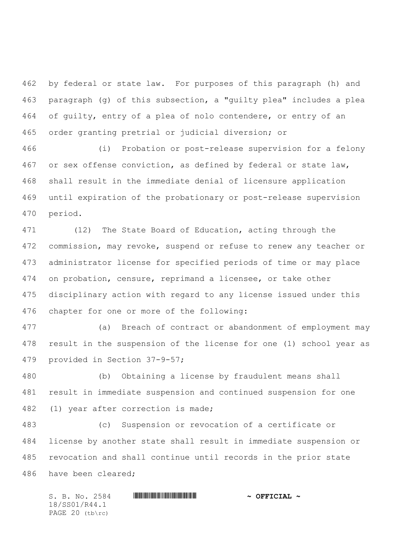by federal or state law. For purposes of this paragraph (h) and paragraph (g) of this subsection, a "guilty plea" includes a plea of guilty, entry of a plea of nolo contendere, or entry of an order granting pretrial or judicial diversion; or

 (i) Probation or post-release supervision for a felony or sex offense conviction, as defined by federal or state law, shall result in the immediate denial of licensure application until expiration of the probationary or post-release supervision period.

 (12) The State Board of Education, acting through the commission, may revoke, suspend or refuse to renew any teacher or administrator license for specified periods of time or may place on probation, censure, reprimand a licensee, or take other disciplinary action with regard to any license issued under this chapter for one or more of the following:

 (a) Breach of contract or abandonment of employment may result in the suspension of the license for one (1) school year as provided in Section 37-9-57;

 (b) Obtaining a license by fraudulent means shall result in immediate suspension and continued suspension for one (1) year after correction is made;

 (c) Suspension or revocation of a certificate or license by another state shall result in immediate suspension or revocation and shall continue until records in the prior state have been cleared;

S. B. No. 2584 \*SS01/R44.1\* **~ OFFICIAL ~** 18/SS01/R44.1 PAGE 20 (tb\rc)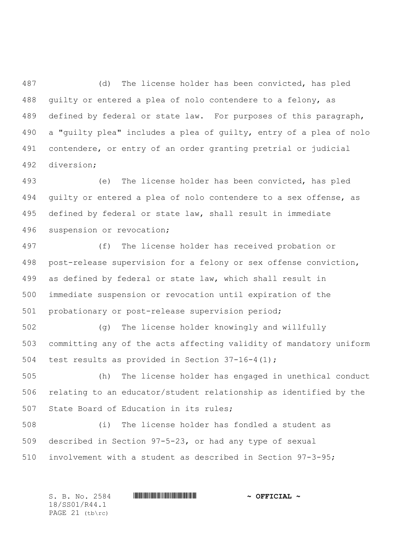(d) The license holder has been convicted, has pled guilty or entered a plea of nolo contendere to a felony, as defined by federal or state law. For purposes of this paragraph, a "guilty plea" includes a plea of guilty, entry of a plea of nolo contendere, or entry of an order granting pretrial or judicial diversion;

 (e) The license holder has been convicted, has pled guilty or entered a plea of nolo contendere to a sex offense, as defined by federal or state law, shall result in immediate suspension or revocation;

 (f) The license holder has received probation or post-release supervision for a felony or sex offense conviction, as defined by federal or state law, which shall result in immediate suspension or revocation until expiration of the probationary or post-release supervision period;

 (g) The license holder knowingly and willfully committing any of the acts affecting validity of mandatory uniform 504 test results as provided in Section  $37-16-4(1)$ ;

 (h) The license holder has engaged in unethical conduct relating to an educator/student relationship as identified by the State Board of Education in its rules;

 (i) The license holder has fondled a student as described in Section 97-5-23, or had any type of sexual involvement with a student as described in Section 97-3-95;

S. B. No. 2584 \*SS01/R44.1\* **~ OFFICIAL ~** 18/SS01/R44.1 PAGE (tb\rc)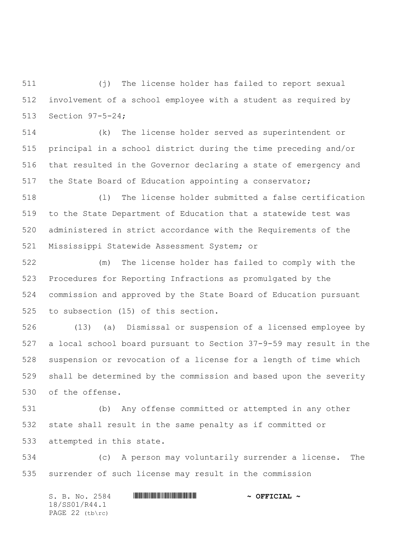(j) The license holder has failed to report sexual involvement of a school employee with a student as required by Section 97-5-24;

 (k) The license holder served as superintendent or principal in a school district during the time preceding and/or that resulted in the Governor declaring a state of emergency and the State Board of Education appointing a conservator;

 (l) The license holder submitted a false certification to the State Department of Education that a statewide test was administered in strict accordance with the Requirements of the Mississippi Statewide Assessment System; or

 (m) The license holder has failed to comply with the Procedures for Reporting Infractions as promulgated by the commission and approved by the State Board of Education pursuant to subsection (15) of this section.

 (13) (a) Dismissal or suspension of a licensed employee by a local school board pursuant to Section 37-9-59 may result in the suspension or revocation of a license for a length of time which shall be determined by the commission and based upon the severity of the offense.

 (b) Any offense committed or attempted in any other state shall result in the same penalty as if committed or attempted in this state.

 (c) A person may voluntarily surrender a license. The surrender of such license may result in the commission

S. B. No. 2584 \*SS01/R44.1\* **~ OFFICIAL ~** 18/SS01/R44.1 PAGE (tb\rc)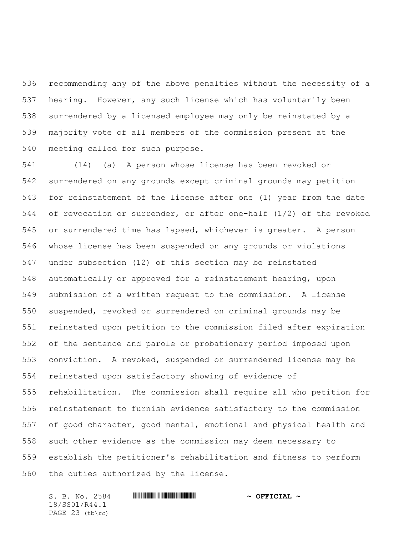recommending any of the above penalties without the necessity of a hearing. However, any such license which has voluntarily been surrendered by a licensed employee may only be reinstated by a majority vote of all members of the commission present at the meeting called for such purpose.

 (14) (a) A person whose license has been revoked or surrendered on any grounds except criminal grounds may petition for reinstatement of the license after one (1) year from the date of revocation or surrender, or after one-half (1/2) of the revoked or surrendered time has lapsed, whichever is greater. A person whose license has been suspended on any grounds or violations under subsection (12) of this section may be reinstated automatically or approved for a reinstatement hearing, upon submission of a written request to the commission. A license suspended, revoked or surrendered on criminal grounds may be reinstated upon petition to the commission filed after expiration of the sentence and parole or probationary period imposed upon conviction. A revoked, suspended or surrendered license may be reinstated upon satisfactory showing of evidence of rehabilitation. The commission shall require all who petition for reinstatement to furnish evidence satisfactory to the commission of good character, good mental, emotional and physical health and such other evidence as the commission may deem necessary to establish the petitioner's rehabilitation and fitness to perform the duties authorized by the license.

18/SS01/R44.1 PAGE 23 (tb\rc)

## S. B. No. 2584 \*SS01/R44.1\* **~ OFFICIAL ~**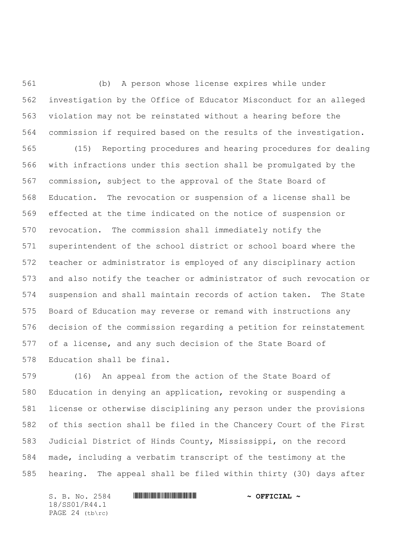(b) A person whose license expires while under investigation by the Office of Educator Misconduct for an alleged violation may not be reinstated without a hearing before the commission if required based on the results of the investigation.

 (15) Reporting procedures and hearing procedures for dealing with infractions under this section shall be promulgated by the commission, subject to the approval of the State Board of Education. The revocation or suspension of a license shall be effected at the time indicated on the notice of suspension or revocation. The commission shall immediately notify the superintendent of the school district or school board where the teacher or administrator is employed of any disciplinary action and also notify the teacher or administrator of such revocation or suspension and shall maintain records of action taken. The State Board of Education may reverse or remand with instructions any decision of the commission regarding a petition for reinstatement of a license, and any such decision of the State Board of Education shall be final.

 (16) An appeal from the action of the State Board of Education in denying an application, revoking or suspending a license or otherwise disciplining any person under the provisions of this section shall be filed in the Chancery Court of the First Judicial District of Hinds County, Mississippi, on the record made, including a verbatim transcript of the testimony at the hearing. The appeal shall be filed within thirty (30) days after

S. B. No. 2584 \*SS01/R44.1\* **~ OFFICIAL ~** 18/SS01/R44.1 PAGE 24 (tb\rc)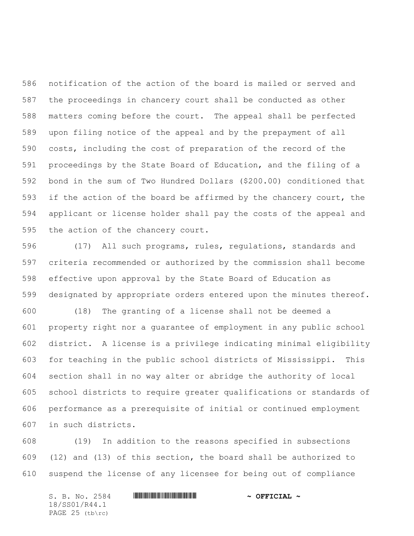notification of the action of the board is mailed or served and the proceedings in chancery court shall be conducted as other matters coming before the court. The appeal shall be perfected upon filing notice of the appeal and by the prepayment of all costs, including the cost of preparation of the record of the proceedings by the State Board of Education, and the filing of a bond in the sum of Two Hundred Dollars (\$200.00) conditioned that if the action of the board be affirmed by the chancery court, the applicant or license holder shall pay the costs of the appeal and the action of the chancery court.

 (17) All such programs, rules, regulations, standards and criteria recommended or authorized by the commission shall become effective upon approval by the State Board of Education as designated by appropriate orders entered upon the minutes thereof.

 (18) The granting of a license shall not be deemed a property right nor a guarantee of employment in any public school district. A license is a privilege indicating minimal eligibility for teaching in the public school districts of Mississippi. This section shall in no way alter or abridge the authority of local school districts to require greater qualifications or standards of performance as a prerequisite of initial or continued employment in such districts.

 (19) In addition to the reasons specified in subsections (12) and (13) of this section, the board shall be authorized to suspend the license of any licensee for being out of compliance

S. B. No. 2584 \*SS01/R44.1\* **~ OFFICIAL ~** 18/SS01/R44.1 PAGE 25 (tb\rc)